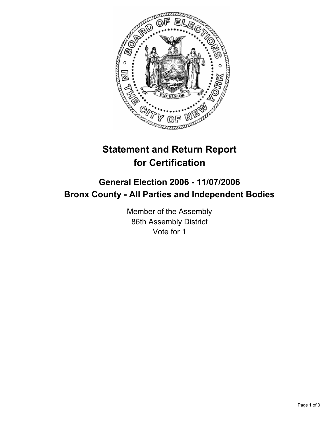

# **Statement and Return Report for Certification**

# **General Election 2006 - 11/07/2006 Bronx County - All Parties and Independent Bodies**

Member of the Assembly 86th Assembly District Vote for 1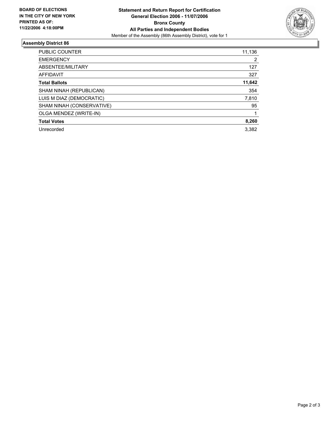

## **Assembly District 86**

| PUBLIC COUNTER            | 11,136 |
|---------------------------|--------|
| <b>EMERGENCY</b>          | 2      |
| ABSENTEE/MILITARY         | 127    |
| AFFIDAVIT                 | 327    |
| <b>Total Ballots</b>      | 11,642 |
| SHAM NINAH (REPUBLICAN)   | 354    |
| LUIS M DIAZ (DEMOCRATIC)  | 7,810  |
| SHAM NINAH (CONSERVATIVE) | 95     |
| OLGA MENDEZ (WRITE-IN)    |        |
| <b>Total Votes</b>        | 8,260  |
| Unrecorded                | 3.382  |